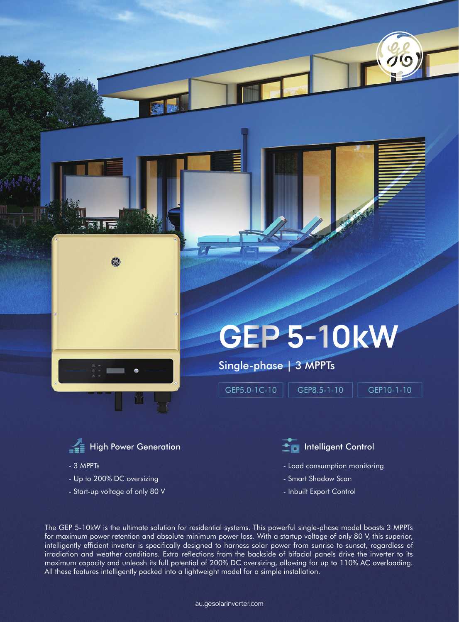

## **GEP 5-10kW**

Single-phase | 3 MPPTs

GEP5.0-1C-10 | GEP8.5-1-10 | GEP10-1-10



- 3 MPPTs

- Up to 200% DC oversizing
- Start-up voltage of only 80 V

- Load consumption monitoring
- Smart Shadow Scan
- Inbuilt Export Control

The GEP 5-10kW is the ultimate solution for residential systems. This powerful single-phase model boasts 3 MPPTs for maximum power retention and absolute minimum power loss. With a startup voltage of only 80 V, this superior, intelligently efficient inverter is specifically designed to harness solar power from sunrise to sunset, regardless of irradiation and weather conditions. Extra reflections from the backside of bifacial panels drive the inverter to its maximum capacity and unleash its full potential of 200% DC oversizing, allowing for up to 110% AC overloading. All these features intelligently packed into a lightweight model for a simple installation.